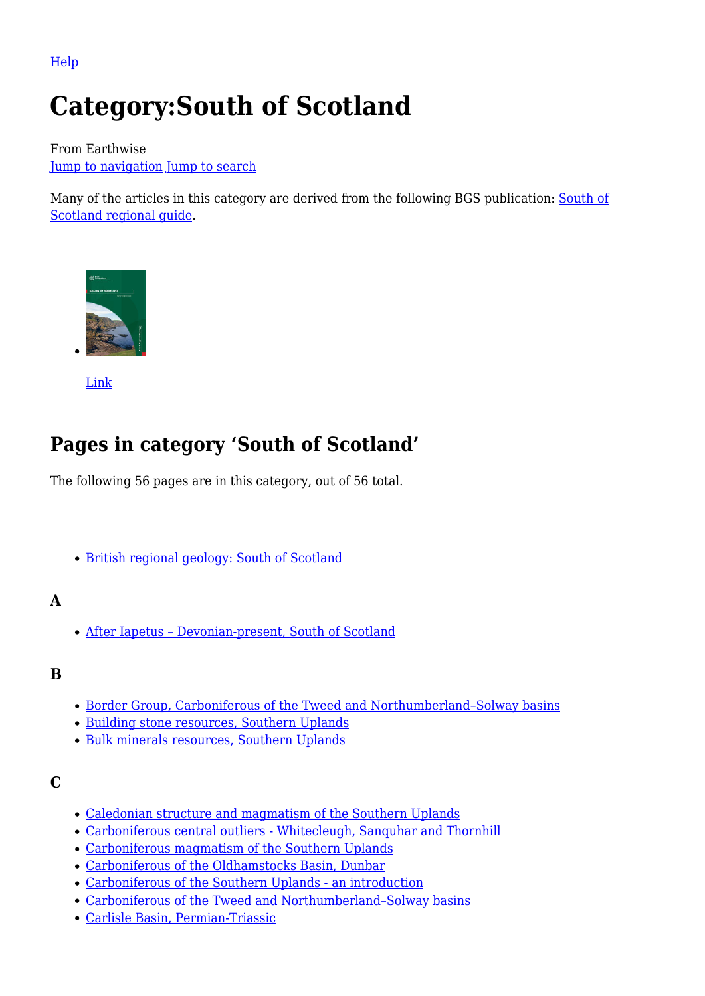[Help](http://www.mediawiki.org/wiki/Special:MyLanguage/Help:Categories)

# **Category:South of Scotland**

From Earthwise [Jump to navigation](#page--1-0) [Jump to search](#page--1-0)

Many of the articles in this category are derived from the following BGS publication: [South of](http://earthwise.bgs.ac.uk/index.php/British_regional_geology:_South_of_Scotland) [Scotland regional guide](http://earthwise.bgs.ac.uk/index.php/British_regional_geology:_South_of_Scotland).



[Link](http://earthwise.bgs.ac.uk/index.php/British_regional_geology:_South_of_Scotland)

# **Pages in category 'South of Scotland'**

The following 56 pages are in this category, out of 56 total.

• [British regional geology: South of Scotland](http://earthwise.bgs.ac.uk/index.php/British_regional_geology:_South_of_Scotland)

# **A**

[After Iapetus – Devonian-present, South of Scotland](http://earthwise.bgs.ac.uk/index.php/After_Iapetus_%E2%80%93_Devonian-present,_South_of_Scotland)

# **B**

- [Border Group, Carboniferous of the Tweed and Northumberland–Solway basins](http://earthwise.bgs.ac.uk/index.php/Border_Group,_Carboniferous_of_the_Tweed_and_Northumberland%E2%80%93Solway_basins)
- [Building stone resources, Southern Uplands](http://earthwise.bgs.ac.uk/index.php/Building_stone_resources,_Southern_Uplands)
- [Bulk minerals resources, Southern Uplands](http://earthwise.bgs.ac.uk/index.php/Bulk_minerals_resources,_Southern_Uplands)

#### **C**

- [Caledonian structure and magmatism of the Southern Uplands](http://earthwise.bgs.ac.uk/index.php/Caledonian_structure_and_magmatism_of_the_Southern_Uplands)
- [Carboniferous central outliers Whitecleugh, Sanquhar and Thornhill](http://earthwise.bgs.ac.uk/index.php/Carboniferous_central_outliers_-_Whitecleugh,_Sanquhar_and_Thornhill)
- [Carboniferous magmatism of the Southern Uplands](http://earthwise.bgs.ac.uk/index.php/Carboniferous_magmatism_of_the_Southern_Uplands)
- [Carboniferous of the Oldhamstocks Basin, Dunbar](http://earthwise.bgs.ac.uk/index.php/Carboniferous_of_the_Oldhamstocks_Basin,_Dunbar)
- [Carboniferous of the Southern Uplands an introduction](http://earthwise.bgs.ac.uk/index.php/Carboniferous_of_the_Southern_Uplands_-_an_introduction)
- [Carboniferous of the Tweed and Northumberland–Solway basins](http://earthwise.bgs.ac.uk/index.php/Carboniferous_of_the_Tweed_and_Northumberland%E2%80%93Solway_basins)
- [Carlisle Basin, Permian-Triassic](http://earthwise.bgs.ac.uk/index.php/Carlisle_Basin,_Permian-Triassic)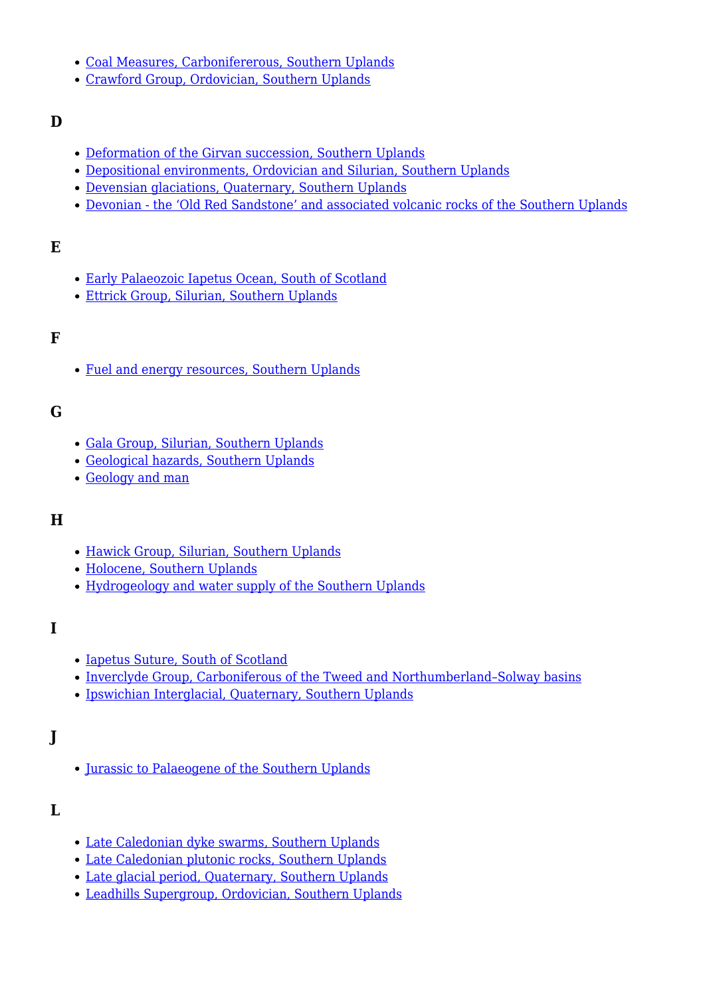- [Coal Measures, Carbonifererous, Southern Uplands](http://earthwise.bgs.ac.uk/index.php/Coal_Measures,_Carbonifererous,_Southern_Uplands)
- [Crawford Group, Ordovician, Southern Uplands](http://earthwise.bgs.ac.uk/index.php/Crawford_Group,_Ordovician,_Southern_Uplands)

#### **D**

- [Deformation of the Girvan succession, Southern Uplands](http://earthwise.bgs.ac.uk/index.php/Deformation_of_the_Girvan_succession,_Southern_Uplands)
- [Depositional environments, Ordovician and Silurian, Southern Uplands](http://earthwise.bgs.ac.uk/index.php/Depositional_environments,_Ordovician_and_Silurian,_Southern_Uplands)
- [Devensian glaciations, Quaternary, Southern Uplands](http://earthwise.bgs.ac.uk/index.php/Devensian_glaciations,_Quaternary,_Southern_Uplands)
- [Devonian the 'Old Red Sandstone' and associated volcanic rocks of the Southern Uplands](http://earthwise.bgs.ac.uk/index.php/Devonian_-_the_%E2%80%98Old_Red_Sandstone%E2%80%99_and_associated_volcanic_rocks_of_the_Southern_Uplands)

# **E**

- [Early Palaeozoic Iapetus Ocean, South of Scotland](http://earthwise.bgs.ac.uk/index.php/Early_Palaeozoic_Iapetus_Ocean,_South_of_Scotland)
- [Ettrick Group, Silurian, Southern Uplands](http://earthwise.bgs.ac.uk/index.php/Ettrick_Group,_Silurian,_Southern_Uplands)

#### **F**

[Fuel and energy resources, Southern Uplands](http://earthwise.bgs.ac.uk/index.php/Fuel_and_energy_resources,_Southern_Uplands)

#### **G**

- [Gala Group, Silurian, Southern Uplands](http://earthwise.bgs.ac.uk/index.php/Gala_Group,_Silurian,_Southern_Uplands)
- [Geological hazards, Southern Uplands](http://earthwise.bgs.ac.uk/index.php/Geological_hazards,_Southern_Uplands)
- [Geology and man](http://earthwise.bgs.ac.uk/index.php/Geology_and_man)

# **H**

- [Hawick Group, Silurian, Southern Uplands](http://earthwise.bgs.ac.uk/index.php/Hawick_Group,_Silurian,_Southern_Uplands)
- [Holocene, Southern Uplands](http://earthwise.bgs.ac.uk/index.php/Holocene,_Southern_Uplands)
- [Hydrogeology and water supply of the Southern Uplands](http://earthwise.bgs.ac.uk/index.php/Hydrogeology_and_water_supply_of_the_Southern_Uplands)

#### **I**

- [Iapetus Suture, South of Scotland](http://earthwise.bgs.ac.uk/index.php/Iapetus_Suture,_South_of_Scotland)
- Inverclyde Group, Carboniferous of the Tweed and Northumberland-Solway basins
- [Ipswichian Interglacial, Quaternary, Southern Uplands](http://earthwise.bgs.ac.uk/index.php/Ipswichian_Interglacial,_Quaternary,_Southern_Uplands)

# **J**

• [Jurassic to Palaeogene of the Southern Uplands](http://earthwise.bgs.ac.uk/index.php/Jurassic_to_Palaeogene_of_the_Southern_Uplands)

#### **L**

- [Late Caledonian dyke swarms, Southern Uplands](http://earthwise.bgs.ac.uk/index.php/Late_Caledonian_dyke_swarms,_Southern_Uplands)
- [Late Caledonian plutonic rocks, Southern Uplands](http://earthwise.bgs.ac.uk/index.php/Late_Caledonian_plutonic_rocks,_Southern_Uplands)
- [Late glacial period, Quaternary, Southern Uplands](http://earthwise.bgs.ac.uk/index.php/Late_glacial_period,_Quaternary,_Southern_Uplands)
- [Leadhills Supergroup, Ordovician, Southern Uplands](http://earthwise.bgs.ac.uk/index.php/Leadhills_Supergroup,_Ordovician,_Southern_Uplands)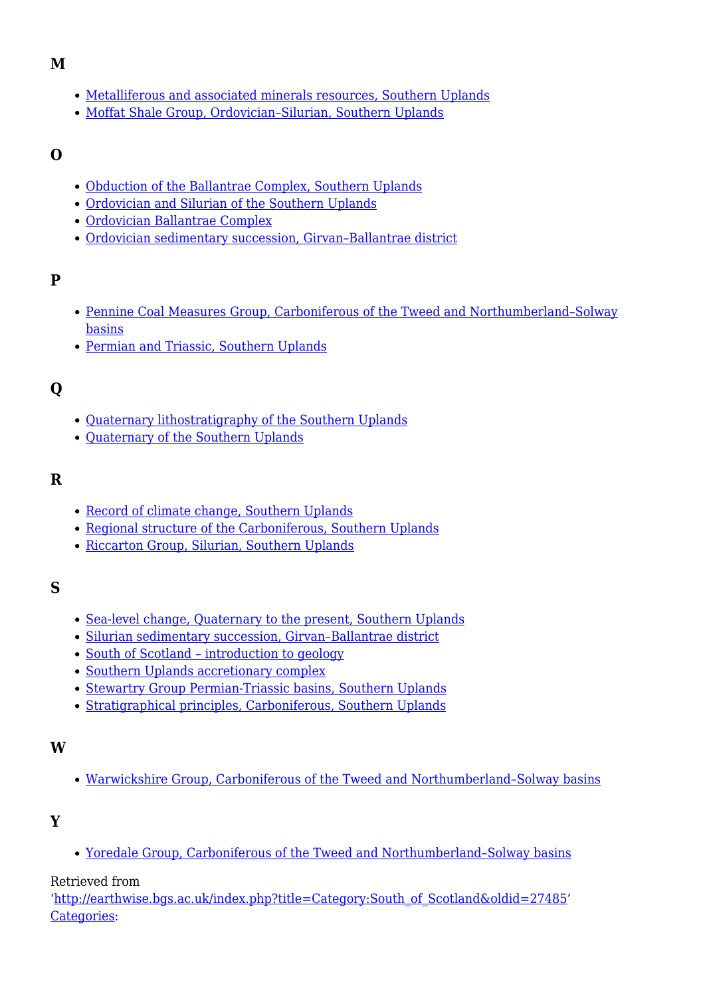#### **M**

- [Metalliferous and associated minerals resources, Southern Uplands](http://earthwise.bgs.ac.uk/index.php/Metalliferous_and_associated_minerals_resources,_Southern_Uplands)
- [Moffat Shale Group, Ordovician–Silurian, Southern Uplands](http://earthwise.bgs.ac.uk/index.php/Moffat_Shale_Group,_Ordovician%E2%80%93Silurian,_Southern_Uplands)

#### **O**

- [Obduction of the Ballantrae Complex, Southern Uplands](http://earthwise.bgs.ac.uk/index.php/Obduction_of_the_Ballantrae_Complex,_Southern_Uplands)
- [Ordovician and Silurian of the Southern Uplands](http://earthwise.bgs.ac.uk/index.php/Ordovician_and_Silurian_of_the_Southern_Uplands)
- [Ordovician Ballantrae Complex](http://earthwise.bgs.ac.uk/index.php/Ordovician_Ballantrae_Complex)
- [Ordovician sedimentary succession, Girvan–Ballantrae district](http://earthwise.bgs.ac.uk/index.php/Ordovician_sedimentary_succession,_Girvan%E2%80%93Ballantrae_district)

#### **P**

- [Pennine Coal Measures Group, Carboniferous of the Tweed and Northumberland–Solway](http://earthwise.bgs.ac.uk/index.php/Pennine_Coal_Measures_Group,_Carboniferous_of_the_Tweed_and_Northumberland%E2%80%93Solway_basins) [basins](http://earthwise.bgs.ac.uk/index.php/Pennine_Coal_Measures_Group,_Carboniferous_of_the_Tweed_and_Northumberland%E2%80%93Solway_basins)
- [Permian and Triassic, Southern Uplands](http://earthwise.bgs.ac.uk/index.php/Permian_and_Triassic,_Southern_Uplands)

# **Q**

- [Quaternary lithostratigraphy of the Southern Uplands](http://earthwise.bgs.ac.uk/index.php/Quaternary_lithostratigraphy_of_the_Southern_Uplands)
- Ouaternary of the Southern Uplands

#### **R**

- [Record of climate change, Southern Uplands](http://earthwise.bgs.ac.uk/index.php/Record_of_climate_change,_Southern_Uplands)
- [Regional structure of the Carboniferous, Southern Uplands](http://earthwise.bgs.ac.uk/index.php/Regional_structure_of_the_Carboniferous,_Southern_Uplands)
- [Riccarton Group, Silurian, Southern Uplands](http://earthwise.bgs.ac.uk/index.php/Riccarton_Group,_Silurian,_Southern_Uplands)

#### **S**

- [Sea-level change, Quaternary to the present, Southern Uplands](http://earthwise.bgs.ac.uk/index.php/Sea-level_change,_Quaternary_to_the_present,_Southern_Uplands)
- Silurian sedimentary succession, Girvan-Ballantrae district
- [South of Scotland introduction to geology](http://earthwise.bgs.ac.uk/index.php/South_of_Scotland_%E2%80%93_introduction_to_geology)
- [Southern Uplands accretionary complex](http://earthwise.bgs.ac.uk/index.php/Southern_Uplands_accretionary_complex)
- [Stewartry Group Permian-Triassic basins, Southern Uplands](http://earthwise.bgs.ac.uk/index.php/Stewartry_Group_Permian-Triassic_basins,_Southern_Uplands)
- [Stratigraphical principles, Carboniferous, Southern Uplands](http://earthwise.bgs.ac.uk/index.php/Stratigraphical_principles,_Carboniferous,_Southern_Uplands)

#### **W**

[Warwickshire Group, Carboniferous of the Tweed and Northumberland–Solway basins](http://earthwise.bgs.ac.uk/index.php/Warwickshire_Group,_Carboniferous_of_the_Tweed_and_Northumberland%E2%80%93Solway_basins)

# **Y**

[Yoredale Group, Carboniferous of the Tweed and Northumberland–Solway basins](http://earthwise.bgs.ac.uk/index.php/Yoredale_Group,_Carboniferous_of_the_Tweed_and_Northumberland%E2%80%93Solway_basins)

#### Retrieved from

'[http://earthwise.bgs.ac.uk/index.php?title=Category:South\\_of\\_Scotland&oldid=27485](http://earthwise.bgs.ac.uk/index.php?title=Category:South_of_Scotland&oldid=27485)' [Categories:](http://earthwise.bgs.ac.uk/index.php/Special:Categories)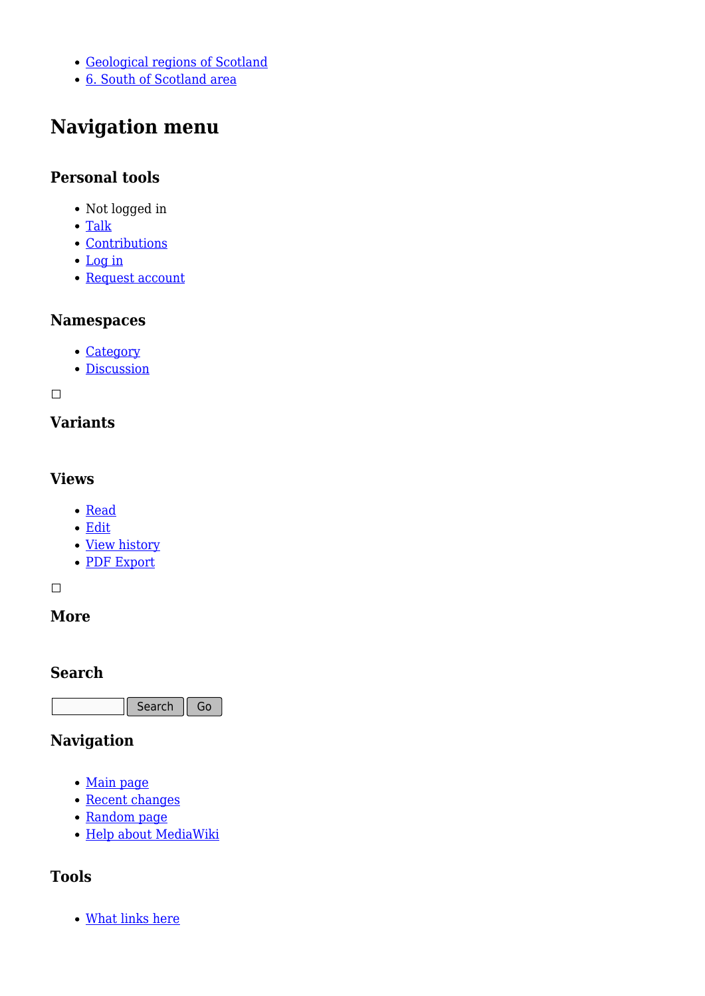- [Geological regions of Scotland](http://earthwise.bgs.ac.uk/index.php/Category:Geological_regions_of_Scotland)
- [6. South of Scotland area](http://earthwise.bgs.ac.uk/index.php/Category:6._South_of_Scotland_area)

# **Navigation menu**

### **Personal tools**

- Not logged in
- [Talk](http://earthwise.bgs.ac.uk/index.php/Special:MyTalk)
- [Contributions](http://earthwise.bgs.ac.uk/index.php/Special:MyContributions)
- [Log in](http://earthwise.bgs.ac.uk/index.php?title=Special:UserLogin&returnto=Category%3ASouth+of+Scotland&returntoquery=action%3Dmpdf)
- [Request account](http://earthwise.bgs.ac.uk/index.php/Special:RequestAccount)

#### **Namespaces**

- [Category](http://earthwise.bgs.ac.uk/index.php/Category:South_of_Scotland)
- [Discussion](http://earthwise.bgs.ac.uk/index.php?title=Category_talk:South_of_Scotland&action=edit&redlink=1)

 $\overline{\phantom{a}}$ 

# **Variants**

#### **Views**

- [Read](http://earthwise.bgs.ac.uk/index.php/Category:South_of_Scotland)
- [Edit](http://earthwise.bgs.ac.uk/index.php?title=Category:South_of_Scotland&action=edit)
- [View history](http://earthwise.bgs.ac.uk/index.php?title=Category:South_of_Scotland&action=history)
- [PDF Export](http://earthwise.bgs.ac.uk/index.php?title=Category:South_of_Scotland&action=mpdf)

 $\Box$ 

# **More**

#### **Search**

Search Go

# **Navigation**

- [Main page](http://earthwise.bgs.ac.uk/index.php/Main_Page)
- [Recent changes](http://earthwise.bgs.ac.uk/index.php/Special:RecentChanges)
- [Random page](http://earthwise.bgs.ac.uk/index.php/Special:Random)
- [Help about MediaWiki](https://www.mediawiki.org/wiki/Special:MyLanguage/Help:Contents)

# **Tools**

[What links here](http://earthwise.bgs.ac.uk/index.php/Special:WhatLinksHere/Category:South_of_Scotland)